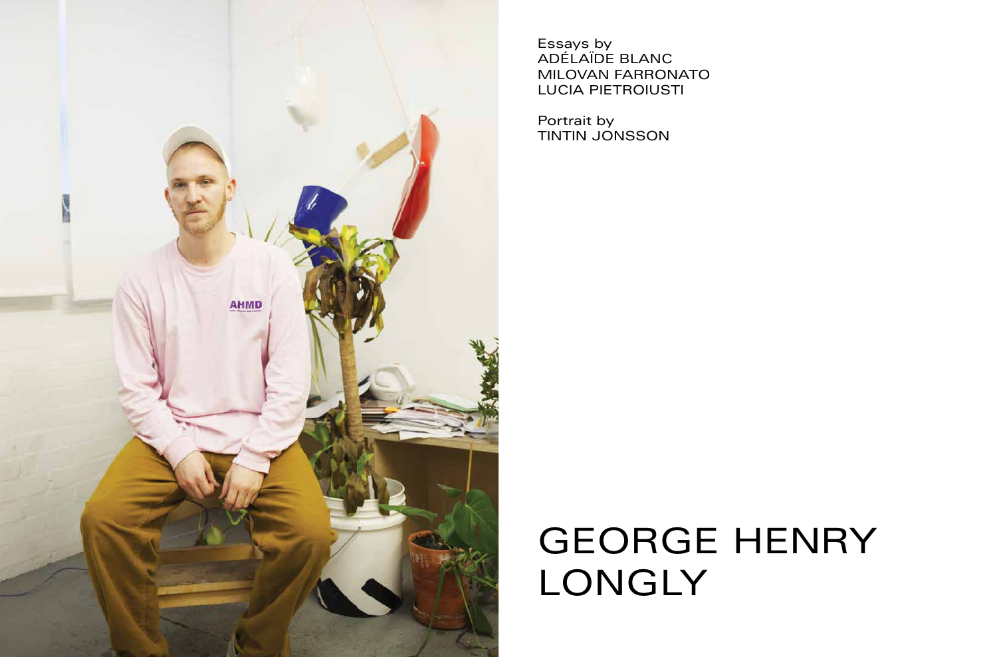# GEORGE HENRY LONGLY



Essays by ADÉLAÏDE BLANC MILOVAN FARRONATO LUCIA PIETROIUSTI

Portrait by TINTIN JONSSON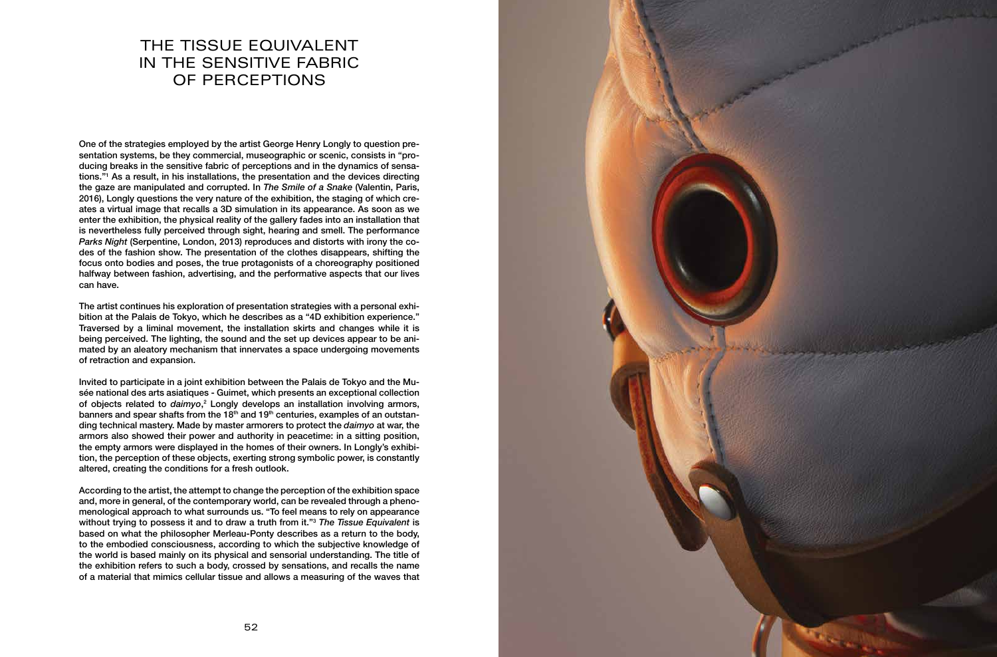One of the strategies employed by the artist George Henry Longly to question presentation systems, be they commercial, museographic or scenic, consists in "producing breaks in the sensitive fabric of perceptions and in the dynamics of sensations."1 As a result, in his installations, the presentation and the devices directing the gaze are manipulated and corrupted. In *The Smile of a Snake* (Valentin, Paris, 2016), Longly questions the very nature of the exhibition, the staging of which creates a virtual image that recalls a 3D simulation in its appearance. As soon as we enter the exhibition, the physical reality of the gallery fades into an installation that is nevertheless fully perceived through sight, hearing and smell. The performance *Parks Night* (Serpentine, London, 2013) reproduces and distorts with irony the codes of the fashion show. The presentation of the clothes disappears, shifting the focus onto bodies and poses, the true protagonists of a choreography positioned halfway between fashion, advertising, and the performative aspects that our lives can have.

The artist continues his exploration of presentation strategies with a personal exhibition at the Palais de Tokyo, which he describes as a "4D exhibition experience." Traversed by a liminal movement, the installation skirts and changes while it is being perceived. The lighting, the sound and the set up devices appear to be animated by an aleatory mechanism that innervates a space undergoing movements of retraction and expansion.

Invited to participate in a joint exhibition between the Palais de Tokyo and the Musée national des arts asiatiques - Guimet, which presents an exceptional collection of objects related to *daimyo*, 2 Longly develops an installation involving armors, banners and spear shafts from the  $18<sup>th</sup>$  and  $19<sup>th</sup>$  centuries, examples of an outstanding technical mastery. Made by master armorers to protect the *daimyo* at war, the armors also showed their power and authority in peacetime: in a sitting position, the empty armors were displayed in the homes of their owners. In Longly's exhibition, the perception of these objects, exerting strong symbolic power, is constantly altered, creating the conditions for a fresh outlook.

According to the artist, the attempt to change the perception of the exhibition space and, more in general, of the contemporary world, can be revealed through a phenomenological approach to what surrounds us. "To feel means to rely on appearance without trying to possess it and to draw a truth from it."3 *The Tissue Equivalent* is based on what the philosopher Merleau-Ponty describes as a return to the body, to the embodied consciousness, according to which the subjective knowledge of the world is based mainly on its physical and sensorial understanding. The title of the exhibition refers to such a body, crossed by sensations, and recalls the name of a material that mimics cellular tissue and allows a measuring of the waves that



### THE TISSUE EQUIVALENT IN THE SENSITIVE FABRIC OF PERCEPTIONS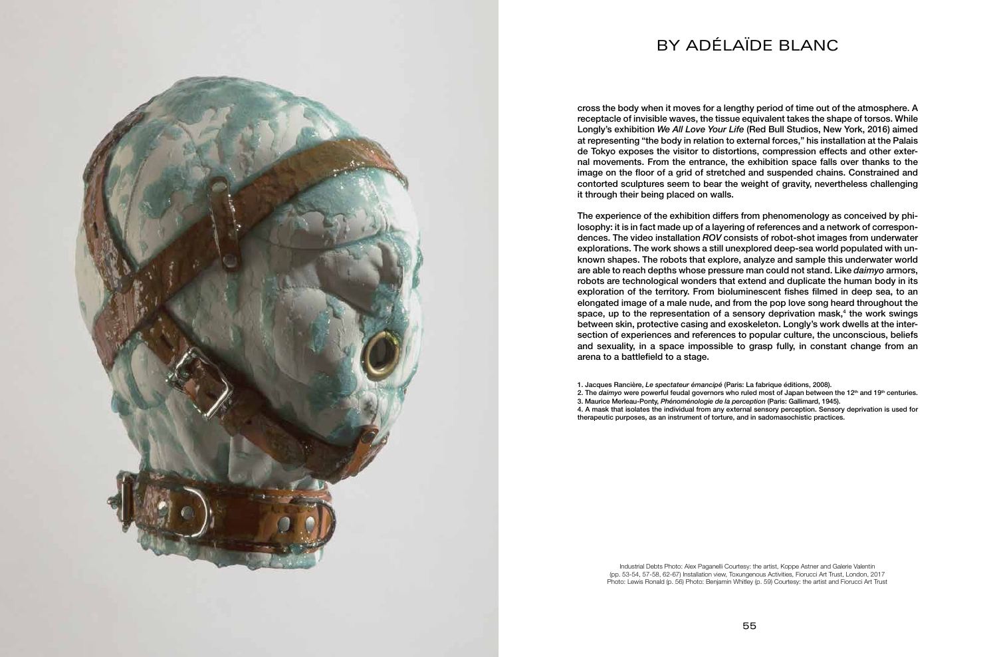cross the body when it moves for a lengthy period of time out of the atmosphere. A receptacle of invisible waves, the tissue equivalent takes the shape of torsos. While Longly's exhibition *We All Love Your Life* (Red Bull Studios, New York, 2016) aimed at representing "the body in relation to external forces," his installation at the Palais de Tokyo exposes the visitor to distortions, compression effects and other external movements. From the entrance, the exhibition space falls over thanks to the image on the floor of a grid of stretched and suspended chains. Constrained and contorted sculptures seem to bear the weight of gravity, nevertheless challenging it through their being placed on walls.

The experience of the exhibition differs from phenomenology as conceived by philosophy: it is in fact made up of a layering of references and a network of correspondences. The video installation *ROV* consists of robot-shot images from underwater explorations. The work shows a still unexplored deep-sea world populated with unknown shapes. The robots that explore, analyze and sample this underwater world are able to reach depths whose pressure man could not stand. Like *daimyo* armors, robots are technological wonders that extend and duplicate the human body in its exploration of the territory. From bioluminescent fishes filmed in deep sea, to an elongated image of a male nude, and from the pop love song heard throughout the space, up to the representation of a sensory deprivation mask, $4$  the work swings between skin, protective casing and exoskeleton. Longly's work dwells at the intersection of experiences and references to popular culture, the unconscious, beliefs and sexuality, in a space impossible to grasp fully, in constant change from an arena to a battlefield to a stage.

1. Jacques Rancière, *Le spectateur émancipé* (Paris: La fabrique éditions, 2008). 2. The *daimyo* were powerful feudal governors who ruled most of Japan between the 12<sup>th</sup> and 19<sup>th</sup> centuries. 3. Maurice Merleau-Ponty, *Phénoménologie de la perception* (Paris: Gallimard, 1945). 4. A mask that isolates the individual from any external sensory perception. Sensory deprivation is used for therapeutic purposes, as an instrument of torture, and in sadomasochistic practices.

Industrial Debts Photo: Alex Paganelli Courtesy: the artist, Koppe Astner and Galerie Valentin (pp. 53-54, 57-58, 62-67) Installation view, Toxungenous Activities, Fiorucci Art Trust, London, 2017 Photo: Lewis Ronald (p. 56) Photo: Benjamin Whitley (p. 59) Courtesy: the artist and Fiorucci Art Trust

# BY ADÉLAÏDE BLANC

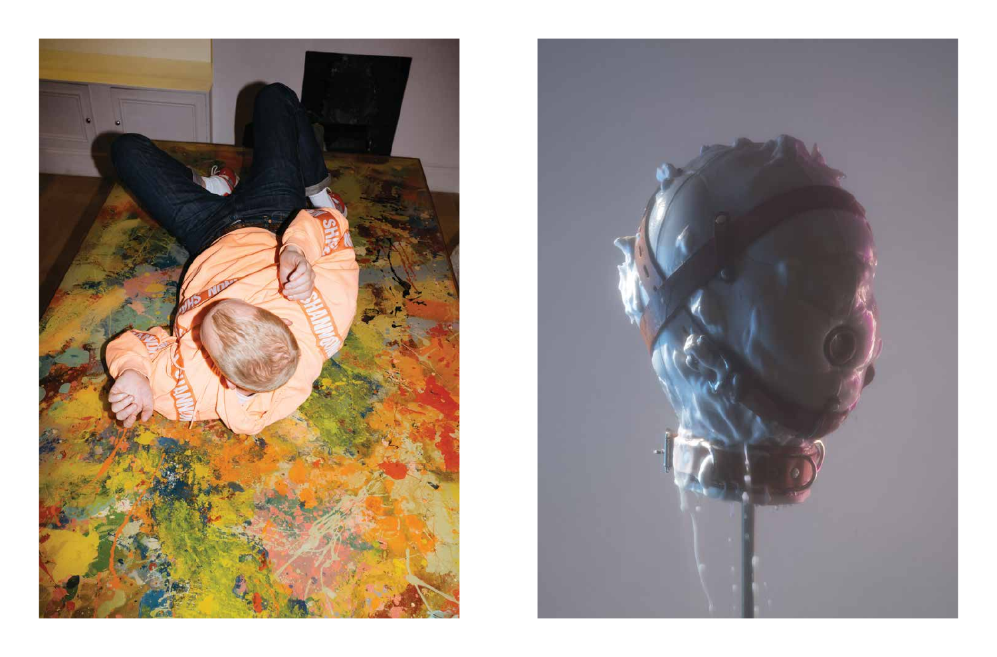

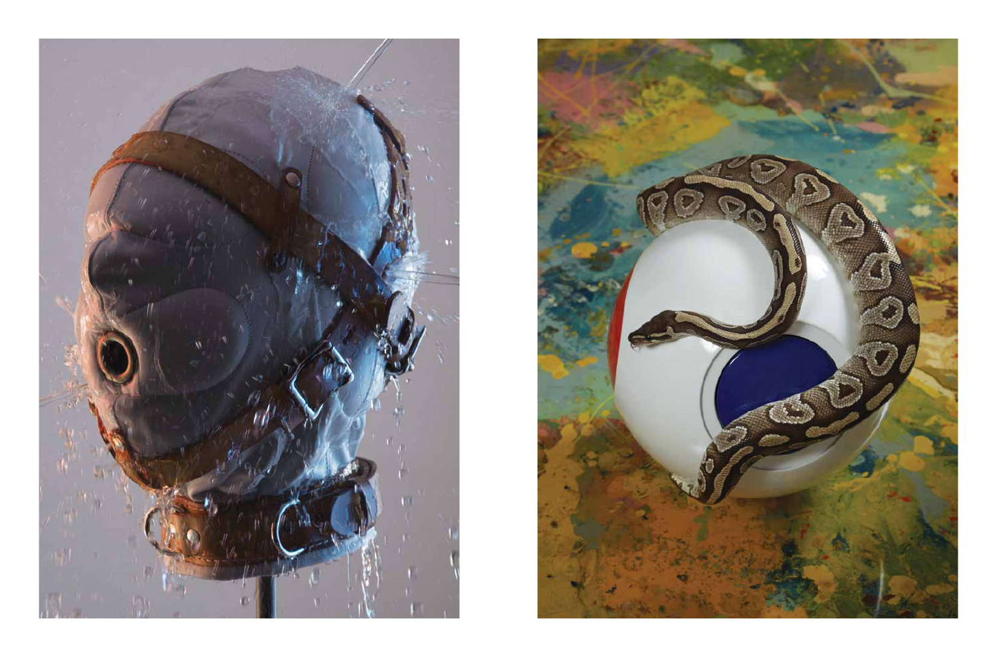

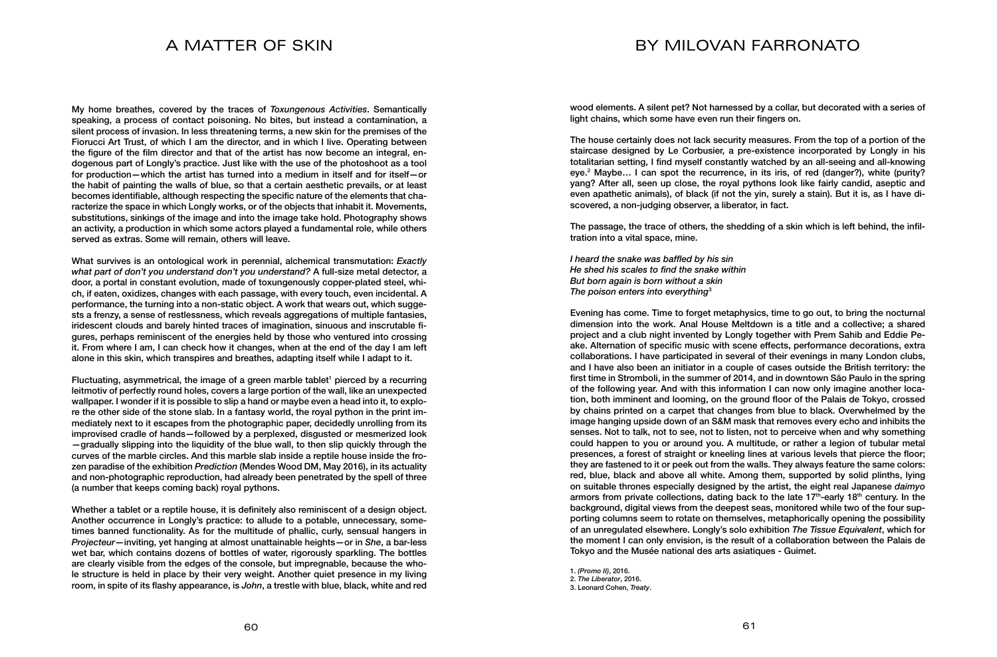My home breathes, covered by the traces of *Toxungenous Activities*. Semantically speaking, a process of contact poisoning. No bites, but instead a contamination, a silent process of invasion. In less threatening terms, a new skin for the premises of the Fiorucci Art Trust, of which I am the director, and in which I live. Operating between the figure of the film director and that of the artist has now become an integral, endogenous part of Longly's practice. Just like with the use of the photoshoot as a tool for production—which the artist has turned into a medium in itself and for itself—or the habit of painting the walls of blue, so that a certain aesthetic prevails, or at least becomes identifiable, although respecting the specific nature of the elements that characterize the space in which Longly works, or of the objects that inhabit it. Movements, substitutions, sinkings of the image and into the image take hold. Photography shows an activity, a production in which some actors played a fundamental role, while others served as extras. Some will remain, others will leave.

Fluctuating, asymmetrical, the image of a green marble tablet<sup>1</sup> pierced by a recurring leitmotiv of perfectly round holes, covers a large portion of the wall, like an unexpected wallpaper. I wonder if it is possible to slip a hand or maybe even a head into it, to explore the other side of the stone slab. In a fantasy world, the royal python in the print immediately next to it escapes from the photographic paper, decidedly unrolling from its improvised cradle of hands—followed by a perplexed, disgusted or mesmerized look —gradually slipping into the liquidity of the blue wall, to then slip quickly through the curves of the marble circles. And this marble slab inside a reptile house inside the frozen paradise of the exhibition *Prediction* (Mendes Wood DM, May 2016), in its actuality and non-photographic reproduction, had already been penetrated by the spell of three (a number that keeps coming back) royal pythons.

What survives is an ontological work in perennial, alchemical transmutation: *Exactly what part of don't you understand don't you understand?* A full-size metal detector, a door, a portal in constant evolution, made of toxungenously copper-plated steel, which, if eaten, oxidizes, changes with each passage, with every touch, even incidental. A performance, the turning into a non-static object. A work that wears out, which suggests a frenzy, a sense of restlessness, which reveals aggregations of multiple fantasies, iridescent clouds and barely hinted traces of imagination, sinuous and inscrutable figures, perhaps reminiscent of the energies held by those who ventured into crossing it. From where I am, I can check how it changes, when at the end of the day I am left alone in this skin, which transpires and breathes, adapting itself while I adapt to it.

Whether a tablet or a reptile house, it is definitely also reminiscent of a design object. Another occurrence in Longly's practice: to allude to a potable, unnecessary, sometimes banned functionality. As for the multitude of phallic, curly, sensual hangers in *Projecteur*—inviting, yet hanging at almost unattainable heights—or in *She*, a bar-less wet bar, which contains dozens of bottles of water, rigorously sparkling. The bottles are clearly visible from the edges of the console, but impregnable, because the whole structure is held in place by their very weight. Another quiet presence in my living room, in spite of its flashy appearance, is *John*, a trestle with blue, black, white and red

### A MATTER OF SKIN

wood elements. A silent pet? Not harnessed by a collar, but decorated with a series of light chains, which some have even run their fingers on.

The house certainly does not lack security measures. From the top of a portion of the staircase designed by Le Corbusier, a pre-existence incorporated by Longly in his totalitarian setting, I find myself constantly watched by an all-seeing and all-knowing eye.<sup>2</sup> Maybe... I can spot the recurrence, in its iris, of red (danger?), white (purity? yang? After all, seen up close, the royal pythons look like fairly candid, aseptic and even apathetic animals), of black (if not the yin, surely a stain). But it is, as I have discovered, a non-judging observer, a liberator, in fact.

The passage, the trace of others, the shedding of a skin which is left behind, the infiltration into a vital space, mine.

*I heard the snake was baffled by his sin He shed his scales to find the snake within But born again is born without a skin The poison enters into everything*<sup>3</sup>

Evening has come. Time to forget metaphysics, time to go out, to bring the nocturnal dimension into the work. Anal House Meltdown is a title and a collective; a shared project and a club night invented by Longly together with Prem Sahib and Eddie Peake. Alternation of specific music with scene effects, performance decorations, extra collaborations. I have participated in several of their evenings in many London clubs, and I have also been an initiator in a couple of cases outside the British territory: the first time in Stromboli, in the summer of 2014, and in downtown São Paulo in the spring of the following year. And with this information I can now only imagine another location, both imminent and looming, on the ground floor of the Palais de Tokyo, crossed by chains printed on a carpet that changes from blue to black. Overwhelmed by the image hanging upside down of an S&M mask that removes every echo and inhibits the senses. Not to talk, not to see, not to listen, not to perceive when and why something could happen to you or around you. A multitude, or rather a legion of tubular metal presences, a forest of straight or kneeling lines at various levels that pierce the floor; they are fastened to it or peek out from the walls. They always feature the same colors: red, blue, black and above all white. Among them, supported by solid plinths, lying on suitable thrones especially designed by the artist, the eight real Japanese *daimyo* armors from private collections, dating back to the late  $17<sup>th</sup>$ -early 18<sup>th</sup> century. In the background, digital views from the deepest seas, monitored while two of the four supporting columns seem to rotate on themselves, metaphorically opening the possibility of an unregulated elsewhere. Longly's solo exhibition *The Tissue Equivalent*, which for the moment I can only envision, is the result of a collaboration between the Palais de Tokyo and the Musée national des arts asiatiques - Guimet.

## BY MILOVAN FARRONATO

<sup>1.</sup> *(Promo II)*, 2016.

<sup>2.</sup> *The Liberator*, 2016.

<sup>3.</sup> Leonard Cohen, *Treaty*.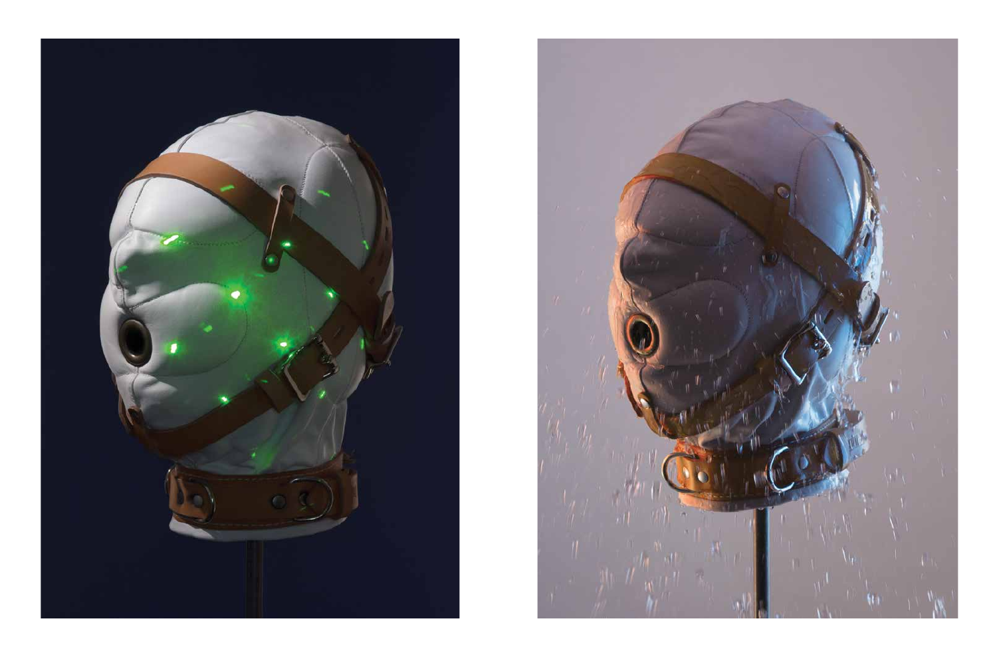

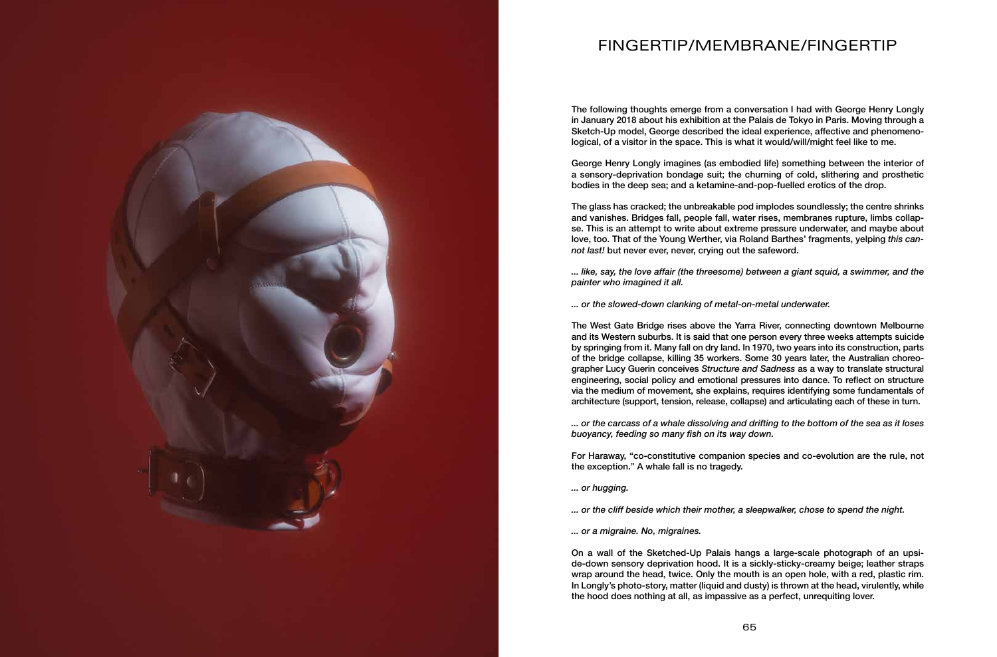The following thoughts emerge from a conversation I had with George Henry Longly in January 2018 about his exhibition at the Palais de Tokyo in Paris. Moving through a Sketch-Up model, George described the ideal experience, affective and phenomenological, of a visitor in the space. This is what it would/will/might feel like to me.

George Henry Longly imagines (as embodied life) something between the interior of a sensory-deprivation bondage suit; the churning of cold, slithering and prosthetic bodies in the deep sea; and a ketamine-and-pop-fuelled erotics of the drop.

The glass has cracked; the unbreakable pod implodes soundlessly; the centre shrinks and vanishes. Bridges fall, people fall, water rises, membranes rupture, limbs collapse. This is an attempt to write about extreme pressure underwater, and maybe about love, too. That of the Young Werther, via Roland Barthes' fragments, yelping *this cannot last!* but never ever, never, crying out the safeword.

*... like, say, the love affair (the threesome) between a giant squid, a swimmer, and the painter who imagined it all.* 

*... or the slowed-down clanking of metal-on-metal underwater.* 

The West Gate Bridge rises above the Yarra River, connecting downtown Melbourne and its Western suburbs. It is said that one person every three weeks attempts suicide by springing from it. Many fall on dry land. In 1970, two years into its construction, parts of the bridge collapse, killing 35 workers. Some 30 years later, the Australian choreographer Lucy Guerin conceives *Structure and Sadness* as a way to translate structural engineering, social policy and emotional pressures into dance. To reflect on structure via the medium of movement, she explains, requires identifying some fundamentals of architecture (support, tension, release, collapse) and articulating each of these in turn.

*... or the carcass of a whale dissolving and drifting to the bottom of the sea as it loses buoyancy, feeding so many fish on its way down.*

For Haraway, "co-constitutive companion species and co-evolution are the rule, not the exception." A whale fall is no tragedy.

*... or hugging.*

*... or the cliff beside which their mother, a sleepwalker, chose to spend the night.* 

*... or a migraine. No, migraines.*

On a wall of the Sketched-Up Palais hangs a large-scale photograph of an upside-down sensory deprivation hood. It is a sickly-sticky-creamy beige; leather straps wrap around the head, twice. Only the mouth is an open hole, with a red, plastic rim. In Longly's photo-story, matter (liquid and dusty) is thrown at the head, virulently, while the hood does nothing at all, as impassive as a perfect, unrequiting lover.



# FINGERTIP/MEMBRANE/FINGERTIP